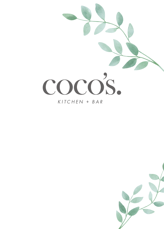

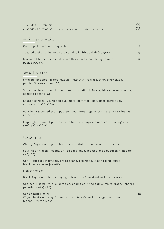| 2 course menu |                                                  |  |
|---------------|--------------------------------------------------|--|
|               | 3 course menu (includes a glass of wine or beer) |  |

### while you wait.

| Confit garlic and herb baguette                                                     | 9   |
|-------------------------------------------------------------------------------------|-----|
| Toasted ciabatta, hummus dip sprinkled with dukkah (VG)(DF)                         | 1.3 |
| Marinated labneh on ciabatta, medley of seasonal cherry tomatoes,<br>basil EVOO (V) | 1.5 |

## small plates.

Smoked kangaroo, grilled haloumi, hazelnut, rocket & strawberry salad, pickled Spanish onion (GF)

Spiced butternut pumpkin mousse, prosciutto di Parma, blue cheese crumble, candied pecans (GF)

Scallop ceviche (6), ribbon cucumber, beetroot, lime, passionfruit gel, coriander (GF)(DF)(NF)

Pork belly & seared scallop, green pea purée, figs, micro cress, port wine jus  $(GF)(NF)(DF)$ 

Maple glazed sweet potatoes with lentils, pumpkin chips, carrot vinaigrette (VG)(GF)(NF)(DF)

### large plates.

Cloudy Bay clam linguini, bonito and shitake cream sauce, fresh chervil

Sous vide chicken Piccata, grilled asparagus, roasted pepper, zucchini noodle  $(NF)(GF)$ 

Confit duck leg Maryland, broad beans, celeriac & lemon thyme puree, blackberry merlot jus (GF)

Fish of the day

Black Angus scotch fillet (250g), classic jus & mustard with truffle mash

Charcoal risotto, wild mushrooms, edamame, fried garlic, micro greens, shaved pecorino (VGA) (GF)

Coco's Grill Platter +10 Wagyu beef rump (125g), lamb cutlet, Byrne's pork sausage, bean Jamón faggot & truffle mash (GF)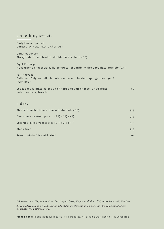### something sweet.

Daily House Special Curated by Head Pastry Chef, Ash

Caramel Lovers Sticky date crème brûlée, double cream, tuile (GF)

Fig & Fromage Mascarpone cheesecake, fig compote, chantilly, white chocolate crumble (GF)

Fall Harvest Callebaut Belgian milk chocolate mousse, chestnut sponge, pear gel & fresh pear

Local cheese plate selection of hard and soft cheese, dried fruits,  $+5$ nuts, crackers, breads

## sides.

| Steamed butter beans, smoked almonds (GF) | 9.5 |
|-------------------------------------------|-----|
| Chermoula sautéed potato (GF) (DF) (NF)   | 9.5 |
| Steamed mixed vegetables (GF) (DF) (NF)   | 9.5 |
| Steak fries                               | 9.5 |
| Sweet potato fries with aioli             | 10  |

*(V) Vegetarian (GF) Gluten Free (VG) Vegan (VGA) Vegan Available (DF) Dairy Free (NF) Nut Free All our food is prepared in a kitchen where nuts, gluten and other allergens are present - if you have a food allergy, please let us know before ordering.*